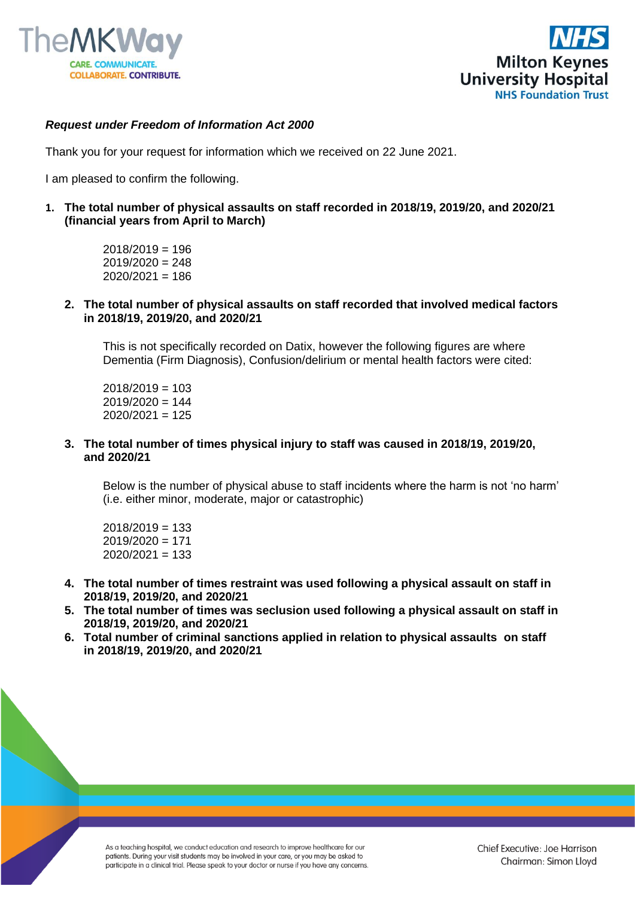



## *Request under Freedom of Information Act 2000*

Thank you for your request for information which we received on 22 June 2021.

I am pleased to confirm the following.

- **1. The total number of physical assaults on staff recorded in 2018/19, 2019/20, and 2020/21 (financial years from April to March)** 
	- $2018/2019 = 196$  $2019/2020 = 248$  $2020/2021 = 186$
	- **2. The total number of physical assaults on staff recorded that involved medical factors in 2018/19, 2019/20, and 2020/21**

This is not specifically recorded on Datix, however the following figures are where Dementia (Firm Diagnosis), Confusion/delirium or mental health factors were cited:

 $2018/2019 = 103$  $2019/2020 = 144$  $2020/2021 = 125$ 

**3. The total number of times physical injury to staff was caused in 2018/19, 2019/20, and 2020/21** 

Below is the number of physical abuse to staff incidents where the harm is not 'no harm' (i.e. either minor, moderate, major or catastrophic)

 $2018/2019 = 133$ 2019/2020 = 171 2020/2021 = 133

- **4. The total number of times restraint was used following a physical assault on staff in 2018/19, 2019/20, and 2020/21**
- **5. The total number of times was seclusion used following a physical assault on staff in 2018/19, 2019/20, and 2020/21**
- **6. Total number of criminal sanctions applied in relation to physical assaults on staff in 2018/19, 2019/20, and 2020/21**

As a teaching hospital, we conduct education and research to improve healthcare for our patients. During your visit students may be involved in your care, or you may be asked to participate in a clinical trial. Please speak to your doctor or nurse if you have any concerns.